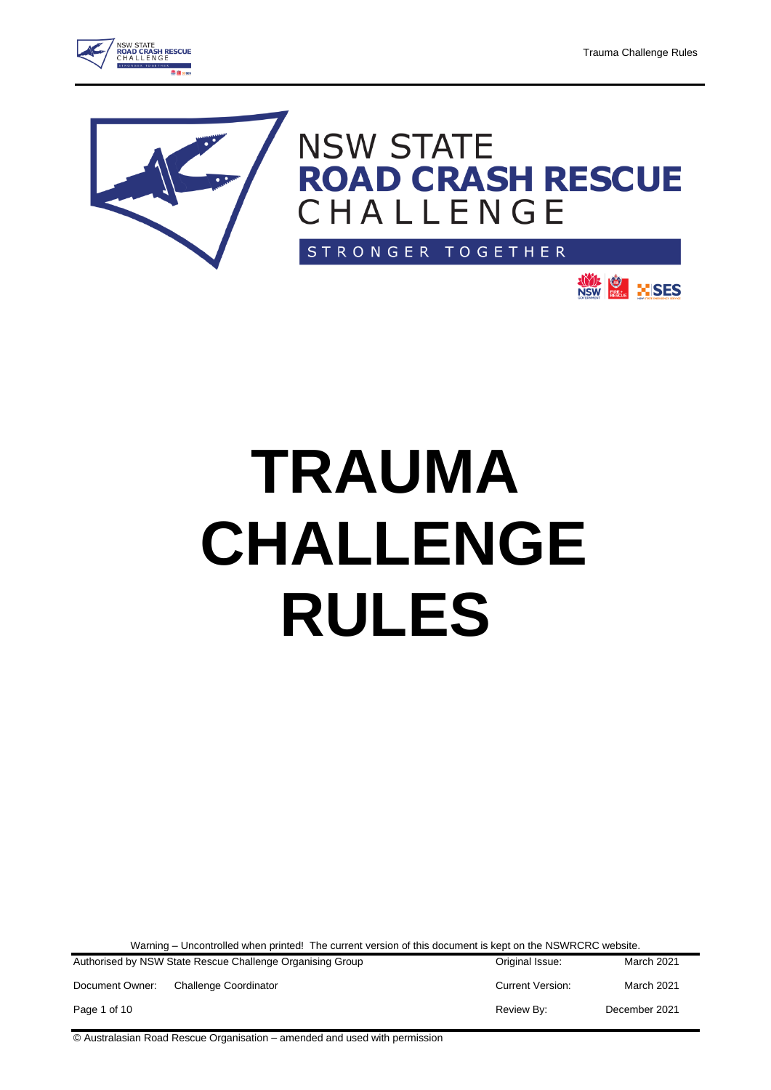**NOTE OF THE SES** 









Warning – Uncontrolled when printed! The current version of this document is kept on the NSWRCRC website.

|                 | Authorised by NSW State Rescue Challenge Organising Group | Original Issue:         | March 2021    |
|-----------------|-----------------------------------------------------------|-------------------------|---------------|
| Document Owner: | <b>Challenge Coordinator</b>                              | <b>Current Version:</b> | March 2021    |
| Page 1 of 10    |                                                           | Review By:              | December 2021 |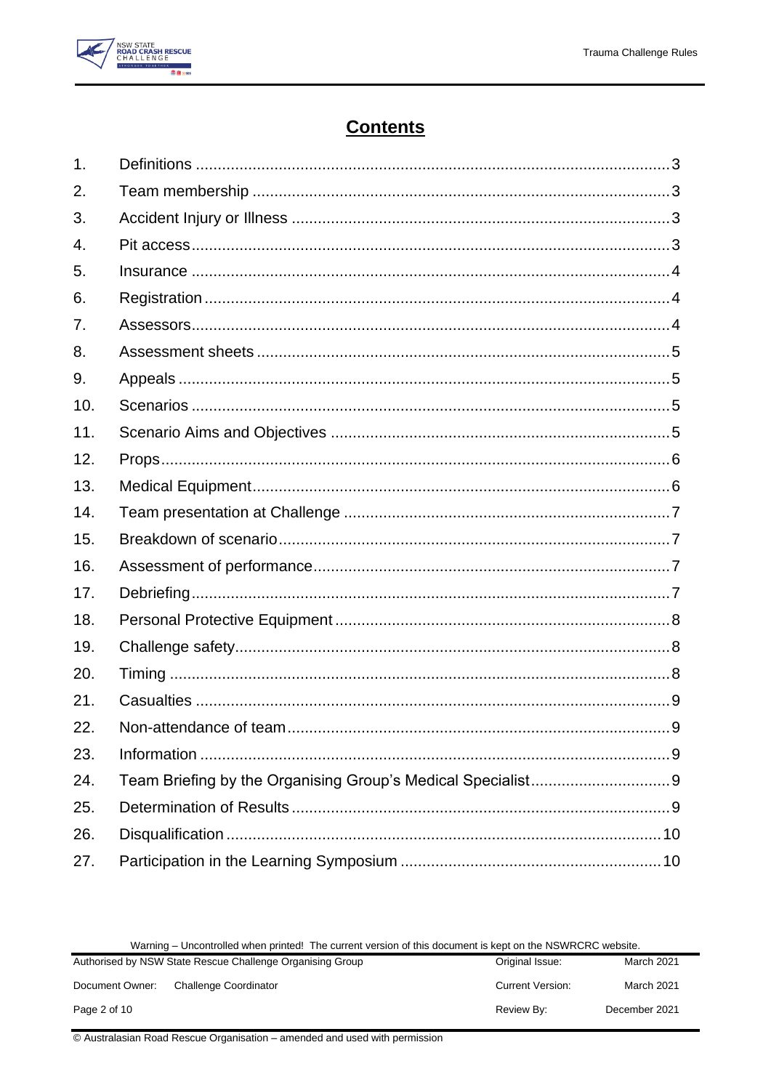

# **Contents**

| 1.  |  |
|-----|--|
| 2.  |  |
| 3.  |  |
| 4.  |  |
| 5.  |  |
| 6.  |  |
| 7.  |  |
| 8.  |  |
| 9.  |  |
| 10. |  |
| 11. |  |
| 12. |  |
| 13. |  |
| 14. |  |
| 15. |  |
| 16. |  |
| 17. |  |
| 18. |  |
| 19. |  |
| 20. |  |
| 21. |  |
| 22. |  |
| 23. |  |
| 24. |  |
| 25. |  |
| 26. |  |
| 27. |  |

| Warning – Uncontrolled when printed! The current version of this document is kept on the NSWRCRC website. |  |
|-----------------------------------------------------------------------------------------------------------|--|
|-----------------------------------------------------------------------------------------------------------|--|

| <b>Trailing – Uncontrolled When printed:</b> The carlotte version of this document is Kept on the NOWHORD Website. |                              |                         |               |
|--------------------------------------------------------------------------------------------------------------------|------------------------------|-------------------------|---------------|
| Authorised by NSW State Rescue Challenge Organising Group                                                          |                              | Original Issue:         | March 2021    |
| Document Owner:                                                                                                    | <b>Challenge Coordinator</b> | <b>Current Version:</b> | March 2021    |
| Page 2 of 10                                                                                                       |                              | Review By:              | December 2021 |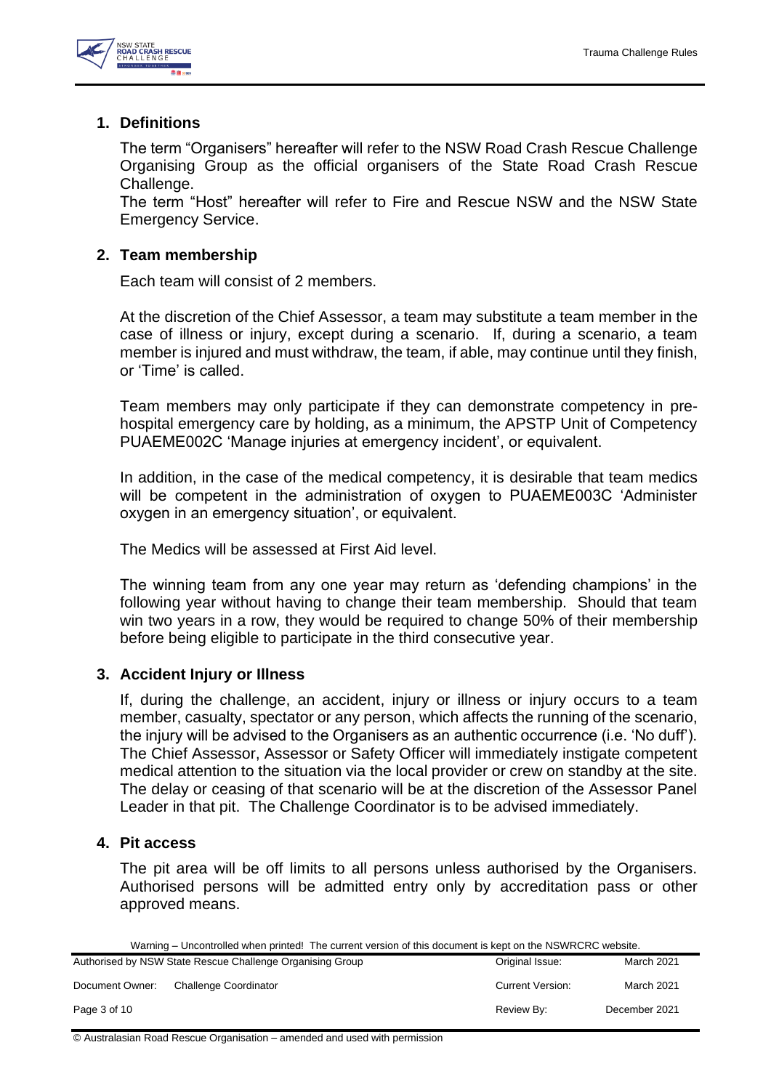

# <span id="page-2-0"></span>**1. Definitions**

The term "Organisers" hereafter will refer to the NSW Road Crash Rescue Challenge Organising Group as the official organisers of the State Road Crash Rescue Challenge.

The term "Host" hereafter will refer to Fire and Rescue NSW and the NSW State Emergency Service.

# <span id="page-2-1"></span>**2. Team membership**

Each team will consist of 2 members.

At the discretion of the Chief Assessor, a team may substitute a team member in the case of illness or injury, except during a scenario. If, during a scenario, a team member is injured and must withdraw, the team, if able, may continue until they finish, or 'Time' is called.

Team members may only participate if they can demonstrate competency in prehospital emergency care by holding, as a minimum, the APSTP Unit of Competency PUAEME002C 'Manage injuries at emergency incident', or equivalent.

In addition, in the case of the medical competency, it is desirable that team medics will be competent in the administration of oxygen to PUAEME003C 'Administer oxygen in an emergency situation', or equivalent.

The Medics will be assessed at First Aid level.

The winning team from any one year may return as 'defending champions' in the following year without having to change their team membership. Should that team win two years in a row, they would be required to change 50% of their membership before being eligible to participate in the third consecutive year.

# <span id="page-2-2"></span>**3. Accident Injury or Illness**

If, during the challenge, an accident, injury or illness or injury occurs to a team member, casualty, spectator or any person, which affects the running of the scenario, the injury will be advised to the Organisers as an authentic occurrence (i.e. 'No duff'). The Chief Assessor, Assessor or Safety Officer will immediately instigate competent medical attention to the situation via the local provider or crew on standby at the site. The delay or ceasing of that scenario will be at the discretion of the Assessor Panel Leader in that pit. The Challenge Coordinator is to be advised immediately.

# <span id="page-2-3"></span>**4. Pit access**

The pit area will be off limits to all persons unless authorised by the Organisers. Authorised persons will be admitted entry only by accreditation pass or other approved means.

Warning – Uncontrolled when printed! The current version of this document is kept on the NSWRCRC website.

|                 | Authorised by NSW State Rescue Challenge Organising Group | Original Issue:         | March 2021    |
|-----------------|-----------------------------------------------------------|-------------------------|---------------|
| Document Owner: | <b>Challenge Coordinator</b>                              | <b>Current Version:</b> | March 2021    |
| Page 3 of 10    |                                                           | Review By:              | December 2021 |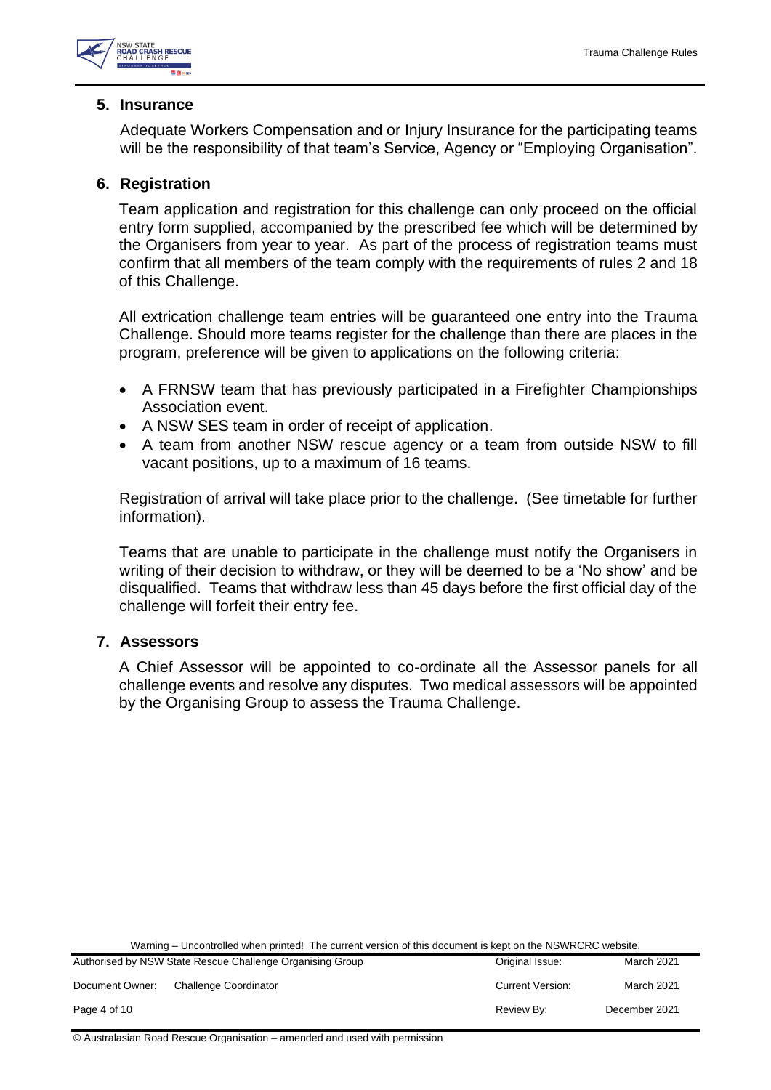

## <span id="page-3-0"></span>**5. Insurance**

Adequate Workers Compensation and or Injury Insurance for the participating teams will be the responsibility of that team's Service, Agency or "Employing Organisation".

# <span id="page-3-1"></span>**6. Registration**

Team application and registration for this challenge can only proceed on the official entry form supplied, accompanied by the prescribed fee which will be determined by the Organisers from year to year. As part of the process of registration teams must confirm that all members of the team comply with the requirements of rules 2 and 18 of this Challenge.

All extrication challenge team entries will be guaranteed one entry into the Trauma Challenge. Should more teams register for the challenge than there are places in the program, preference will be given to applications on the following criteria:

- A FRNSW team that has previously participated in a Firefighter Championships Association event.
- A NSW SES team in order of receipt of application.
- A team from another NSW rescue agency or a team from outside NSW to fill vacant positions, up to a maximum of 16 teams.

Registration of arrival will take place prior to the challenge. (See timetable for further information).

Teams that are unable to participate in the challenge must notify the Organisers in writing of their decision to withdraw, or they will be deemed to be a 'No show' and be disqualified. Teams that withdraw less than 45 days before the first official day of the challenge will forfeit their entry fee.

# <span id="page-3-2"></span>**7. Assessors**

A Chief Assessor will be appointed to co-ordinate all the Assessor panels for all challenge events and resolve any disputes. Two medical assessors will be appointed by the Organising Group to assess the Trauma Challenge.

Warning – Uncontrolled when printed! The current version of this document is kept on the NSWRCRC website.

| Authorised by NSW State Rescue Challenge Organising Group<br>Original Issue: |                       | March 2021              |                   |
|------------------------------------------------------------------------------|-----------------------|-------------------------|-------------------|
| Document Owner:                                                              | Challenge Coordinator | <b>Current Version:</b> | <b>March 2021</b> |
| Page 4 of 10                                                                 |                       | Review By:              | December 2021     |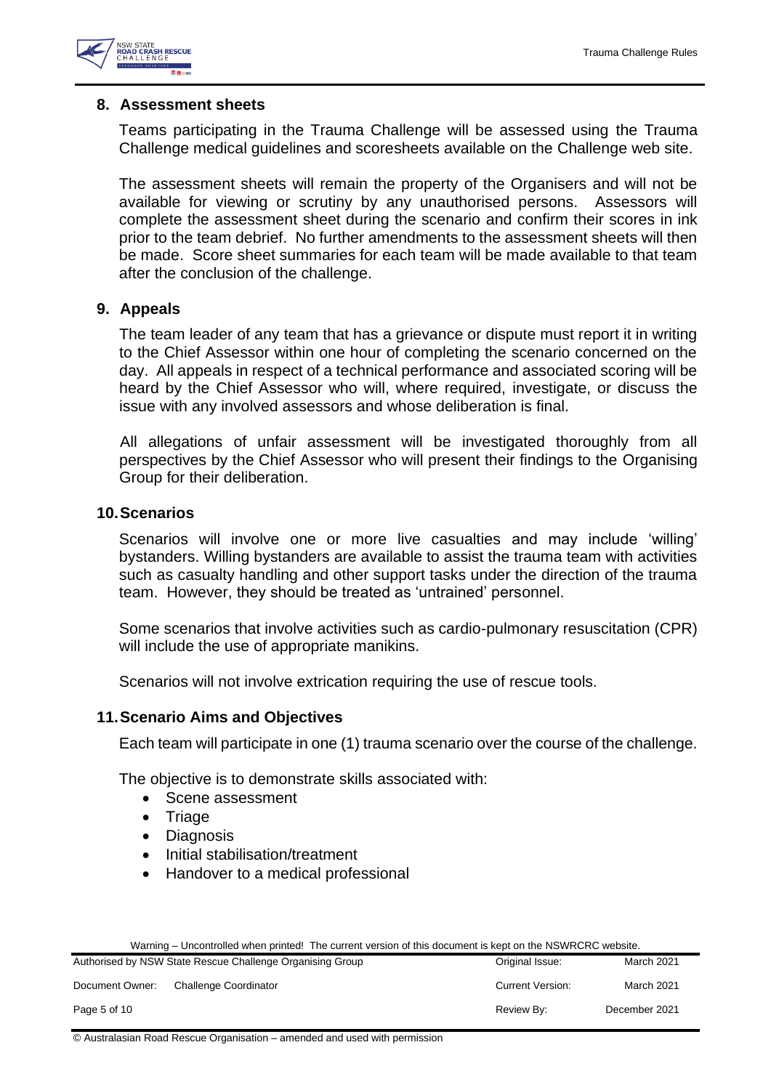

#### <span id="page-4-0"></span>**8. Assessment sheets**

Teams participating in the Trauma Challenge will be assessed using the Trauma Challenge medical guidelines and scoresheets available on the Challenge web site.

The assessment sheets will remain the property of the Organisers and will not be available for viewing or scrutiny by any unauthorised persons. Assessors will complete the assessment sheet during the scenario and confirm their scores in ink prior to the team debrief. No further amendments to the assessment sheets will then be made. Score sheet summaries for each team will be made available to that team after the conclusion of the challenge.

## <span id="page-4-1"></span>**9. Appeals**

The team leader of any team that has a grievance or dispute must report it in writing to the Chief Assessor within one hour of completing the scenario concerned on the day. All appeals in respect of a technical performance and associated scoring will be heard by the Chief Assessor who will, where required, investigate, or discuss the issue with any involved assessors and whose deliberation is final.

All allegations of unfair assessment will be investigated thoroughly from all perspectives by the Chief Assessor who will present their findings to the Organising Group for their deliberation.

#### <span id="page-4-2"></span>**10.Scenarios**

Scenarios will involve one or more live casualties and may include 'willing' bystanders. Willing bystanders are available to assist the trauma team with activities such as casualty handling and other support tasks under the direction of the trauma team. However, they should be treated as 'untrained' personnel.

Some scenarios that involve activities such as cardio-pulmonary resuscitation (CPR) will include the use of appropriate manikins.

Scenarios will not involve extrication requiring the use of rescue tools.

#### <span id="page-4-3"></span>**11.Scenario Aims and Objectives**

Each team will participate in one (1) trauma scenario over the course of the challenge.

The objective is to demonstrate skills associated with:

- Scene assessment
- Triage
- Diagnosis
- Initial stabilisation/treatment
- Handover to a medical professional

|  | Warning – Uncontrolled when printed! The current version of this document is kept on the NSWRCRC website. |
|--|-----------------------------------------------------------------------------------------------------------|
|--|-----------------------------------------------------------------------------------------------------------|

|                 | Authorised by NSW State Rescue Challenge Organising Group | Original Issue:         | March 2021    |
|-----------------|-----------------------------------------------------------|-------------------------|---------------|
| Document Owner: | Challenge Coordinator                                     | <b>Current Version:</b> | March 2021    |
| Page 5 of 10    |                                                           | Review By:              | December 2021 |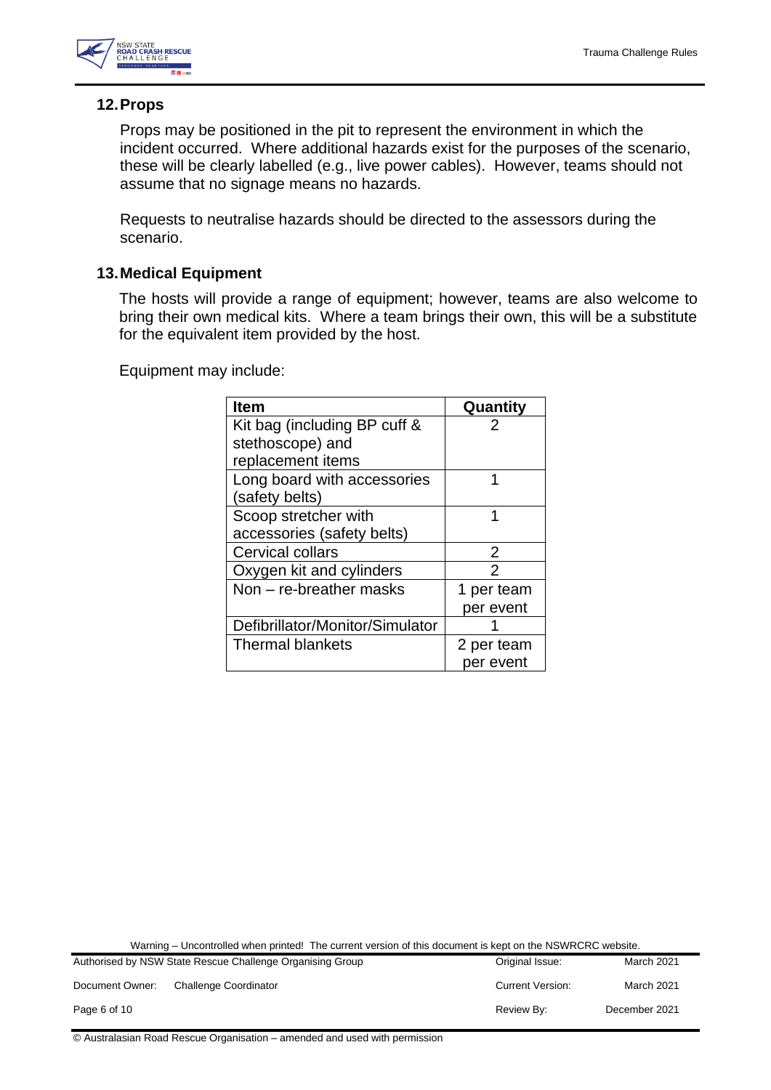

# <span id="page-5-0"></span>**12.Props**

Props may be positioned in the pit to represent the environment in which the incident occurred. Where additional hazards exist for the purposes of the scenario, these will be clearly labelled (e.g., live power cables). However, teams should not assume that no signage means no hazards.

Requests to neutralise hazards should be directed to the assessors during the scenario.

# <span id="page-5-1"></span>**13.Medical Equipment**

The hosts will provide a range of equipment; however, teams are also welcome to bring their own medical kits. Where a team brings their own, this will be a substitute for the equivalent item provided by the host.

Equipment may include:

| <b>Item</b>                     | Quantity   |
|---------------------------------|------------|
| Kit bag (including BP cuff &    | 2          |
| stethoscope) and                |            |
| replacement items               |            |
| Long board with accessories     | 1          |
| (safety belts)                  |            |
| Scoop stretcher with            | 1          |
| accessories (safety belts)      |            |
| Cervical collars                | 2          |
| Oxygen kit and cylinders        | 2          |
| Non - re-breather masks         | 1 per team |
|                                 | per event  |
| Defibrillator/Monitor/Simulator |            |
| <b>Thermal blankets</b>         | 2 per team |
|                                 | per event  |

Warning – Uncontrolled when printed! The current version of this document is kept on the NSWRCRC website.

|                 | Authorised by NSW State Rescue Challenge Organising Group | Original Issue:         | March 2021    |
|-----------------|-----------------------------------------------------------|-------------------------|---------------|
| Document Owner: | <b>Challenge Coordinator</b>                              | <b>Current Version:</b> | March 2021    |
| Page 6 of 10    |                                                           | Review By:              | December 2021 |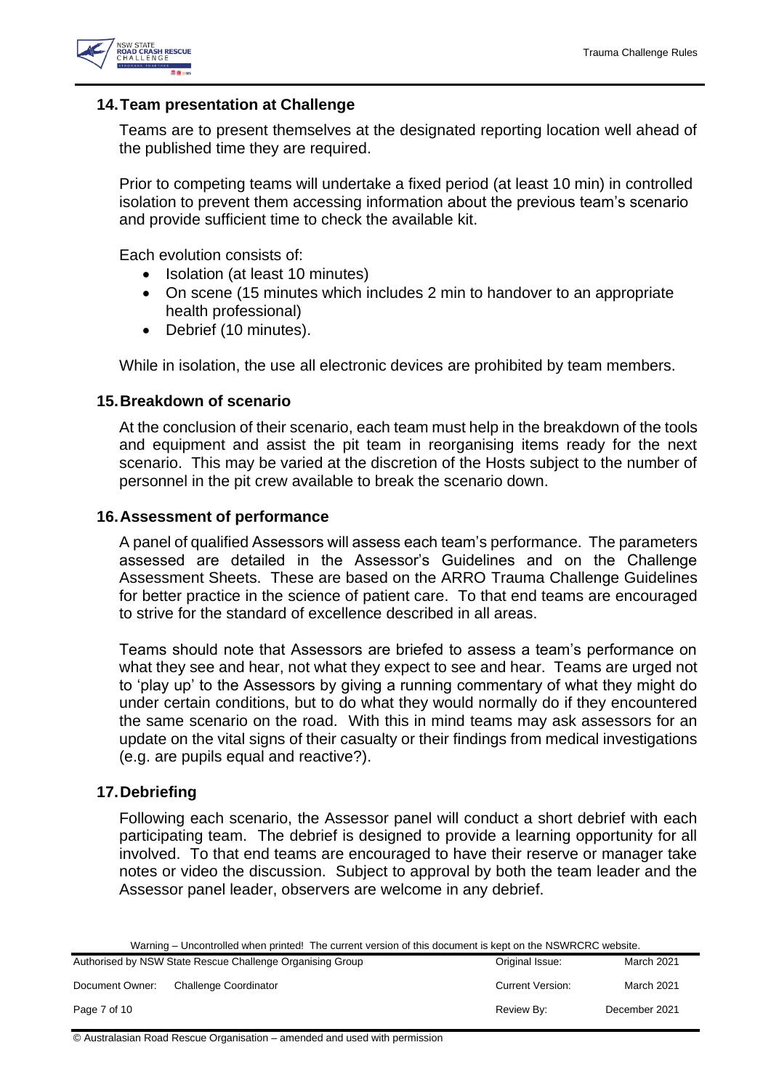

## <span id="page-6-0"></span>**14.Team presentation at Challenge**

Teams are to present themselves at the designated reporting location well ahead of the published time they are required.

Prior to competing teams will undertake a fixed period (at least 10 min) in controlled isolation to prevent them accessing information about the previous team's scenario and provide sufficient time to check the available kit.

Each evolution consists of:

- Isolation (at least 10 minutes)
- On scene (15 minutes which includes 2 min to handover to an appropriate health professional)
- Debrief (10 minutes).

While in isolation, the use all electronic devices are prohibited by team members.

## <span id="page-6-1"></span>**15.Breakdown of scenario**

At the conclusion of their scenario, each team must help in the breakdown of the tools and equipment and assist the pit team in reorganising items ready for the next scenario. This may be varied at the discretion of the Hosts subject to the number of personnel in the pit crew available to break the scenario down.

## <span id="page-6-2"></span>**16.Assessment of performance**

A panel of qualified Assessors will assess each team's performance. The parameters assessed are detailed in the Assessor's Guidelines and on the Challenge Assessment Sheets. These are based on the ARRO Trauma Challenge Guidelines for better practice in the science of patient care. To that end teams are encouraged to strive for the standard of excellence described in all areas.

Teams should note that Assessors are briefed to assess a team's performance on what they see and hear, not what they expect to see and hear. Teams are urged not to 'play up' to the Assessors by giving a running commentary of what they might do under certain conditions, but to do what they would normally do if they encountered the same scenario on the road. With this in mind teams may ask assessors for an update on the vital signs of their casualty or their findings from medical investigations (e.g. are pupils equal and reactive?).

# <span id="page-6-3"></span>**17.Debriefing**

Following each scenario, the Assessor panel will conduct a short debrief with each participating team. The debrief is designed to provide a learning opportunity for all involved. To that end teams are encouraged to have their reserve or manager take notes or video the discussion. Subject to approval by both the team leader and the Assessor panel leader, observers are welcome in any debrief.

Warning – Uncontrolled when printed! The current version of this document is kept on the NSWRCRC website.

|                 | Authorised by NSW State Rescue Challenge Organising Group | Original Issue:         | March 2021    |
|-----------------|-----------------------------------------------------------|-------------------------|---------------|
| Document Owner: | <b>Challenge Coordinator</b>                              | <b>Current Version:</b> | March 2021    |
| Page 7 of 10    |                                                           | Review By:              | December 2021 |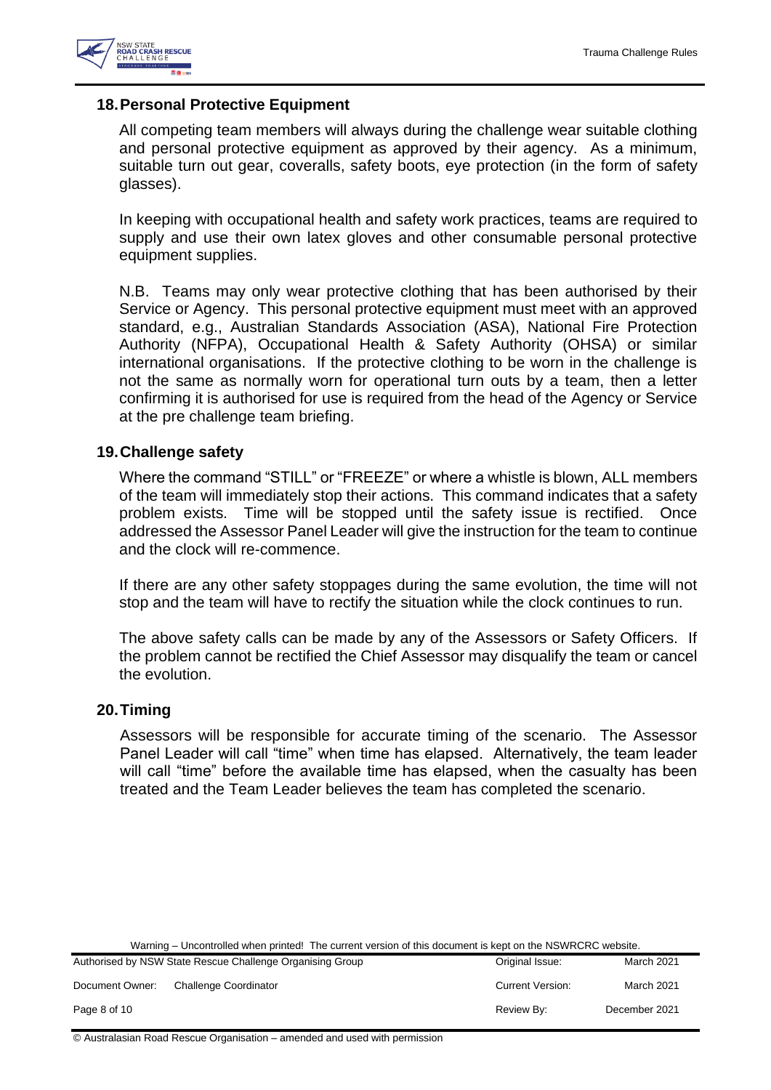

## <span id="page-7-0"></span>**18.Personal Protective Equipment**

All competing team members will always during the challenge wear suitable clothing and personal protective equipment as approved by their agency. As a minimum, suitable turn out gear, coveralls, safety boots, eye protection (in the form of safety glasses).

In keeping with occupational health and safety work practices, teams are required to supply and use their own latex gloves and other consumable personal protective equipment supplies.

N.B. Teams may only wear protective clothing that has been authorised by their Service or Agency. This personal protective equipment must meet with an approved standard, e.g., Australian Standards Association (ASA), National Fire Protection Authority (NFPA), Occupational Health & Safety Authority (OHSA) or similar international organisations. If the protective clothing to be worn in the challenge is not the same as normally worn for operational turn outs by a team, then a letter confirming it is authorised for use is required from the head of the Agency or Service at the pre challenge team briefing.

#### <span id="page-7-1"></span>**19.Challenge safety**

Where the command "STILL" or "FREEZE" or where a whistle is blown, ALL members of the team will immediately stop their actions. This command indicates that a safety problem exists. Time will be stopped until the safety issue is rectified. Once addressed the Assessor Panel Leader will give the instruction for the team to continue and the clock will re-commence.

If there are any other safety stoppages during the same evolution, the time will not stop and the team will have to rectify the situation while the clock continues to run.

The above safety calls can be made by any of the Assessors or Safety Officers. If the problem cannot be rectified the Chief Assessor may disqualify the team or cancel the evolution.

#### <span id="page-7-2"></span>**20.Timing**

Assessors will be responsible for accurate timing of the scenario. The Assessor Panel Leader will call "time" when time has elapsed. Alternatively, the team leader will call "time" before the available time has elapsed, when the casualty has been treated and the Team Leader believes the team has completed the scenario.

| Authorised by NSW State Rescue Challenge Organising Group |                       | Original Issue:         | <b>March 2021</b> |
|-----------------------------------------------------------|-----------------------|-------------------------|-------------------|
| Document Owner:                                           | Challenge Coordinator | <b>Current Version:</b> | <b>March 2021</b> |
| Page 8 of 10                                              |                       | Review By:              | December 2021     |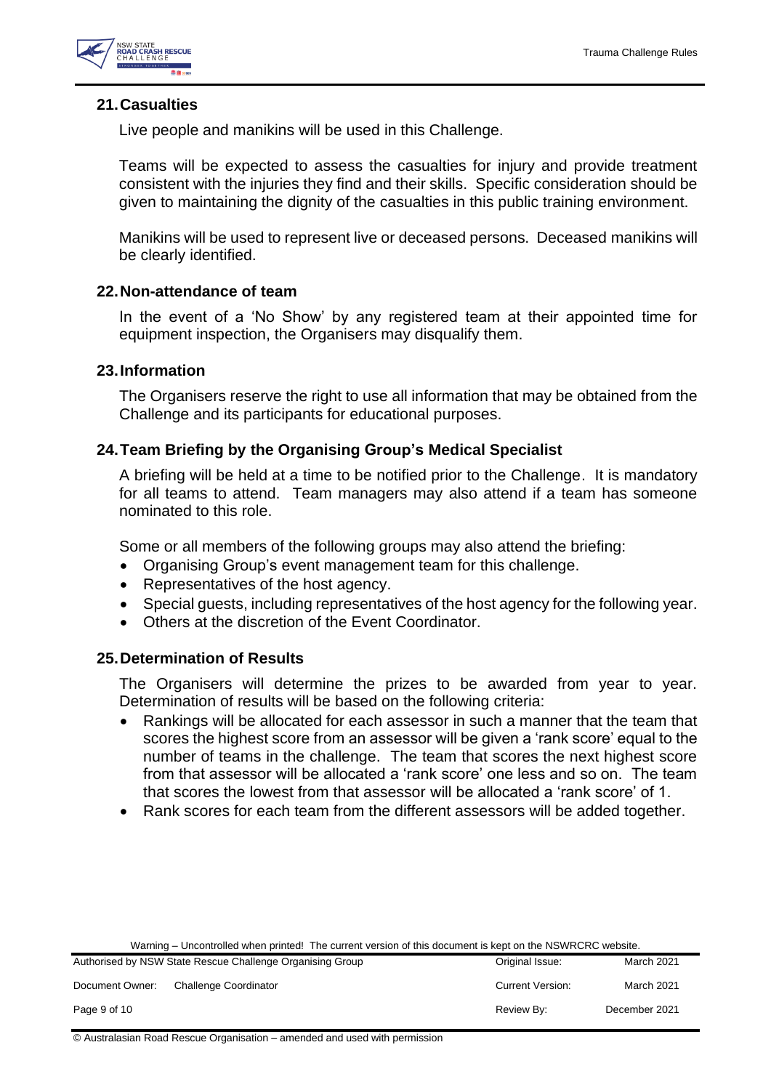

## <span id="page-8-0"></span>**21.Casualties**

Live people and manikins will be used in this Challenge.

Teams will be expected to assess the casualties for injury and provide treatment consistent with the injuries they find and their skills. Specific consideration should be given to maintaining the dignity of the casualties in this public training environment.

Manikins will be used to represent live or deceased persons. Deceased manikins will be clearly identified.

#### <span id="page-8-1"></span>**22.Non-attendance of team**

In the event of a 'No Show' by any registered team at their appointed time for equipment inspection, the Organisers may disqualify them.

## <span id="page-8-2"></span>**23.Information**

The Organisers reserve the right to use all information that may be obtained from the Challenge and its participants for educational purposes.

## <span id="page-8-3"></span>**24.Team Briefing by the Organising Group's Medical Specialist**

A briefing will be held at a time to be notified prior to the Challenge. It is mandatory for all teams to attend. Team managers may also attend if a team has someone nominated to this role.

Some or all members of the following groups may also attend the briefing:

- Organising Group's event management team for this challenge.
- Representatives of the host agency.
- Special guests, including representatives of the host agency for the following year.
- Others at the discretion of the Event Coordinator.

#### <span id="page-8-4"></span>**25.Determination of Results**

The Organisers will determine the prizes to be awarded from year to year. Determination of results will be based on the following criteria:

- Rankings will be allocated for each assessor in such a manner that the team that scores the highest score from an assessor will be given a 'rank score' equal to the number of teams in the challenge. The team that scores the next highest score from that assessor will be allocated a 'rank score' one less and so on. The team that scores the lowest from that assessor will be allocated a 'rank score' of 1.
- Rank scores for each team from the different assessors will be added together.

| Warning – Uncontrolled when printed! The current version of this document is kept on the NSWRCRC website. |  |
|-----------------------------------------------------------------------------------------------------------|--|
|-----------------------------------------------------------------------------------------------------------|--|

| Authorised by NSW State Rescue Challenge Organising Group |                       | Original Issue:         | <b>March 2021</b> |
|-----------------------------------------------------------|-----------------------|-------------------------|-------------------|
| Document Owner:                                           | Challenge Coordinator | <b>Current Version:</b> | March 2021        |
| Page 9 of 10                                              |                       | Review By:              | December 2021     |